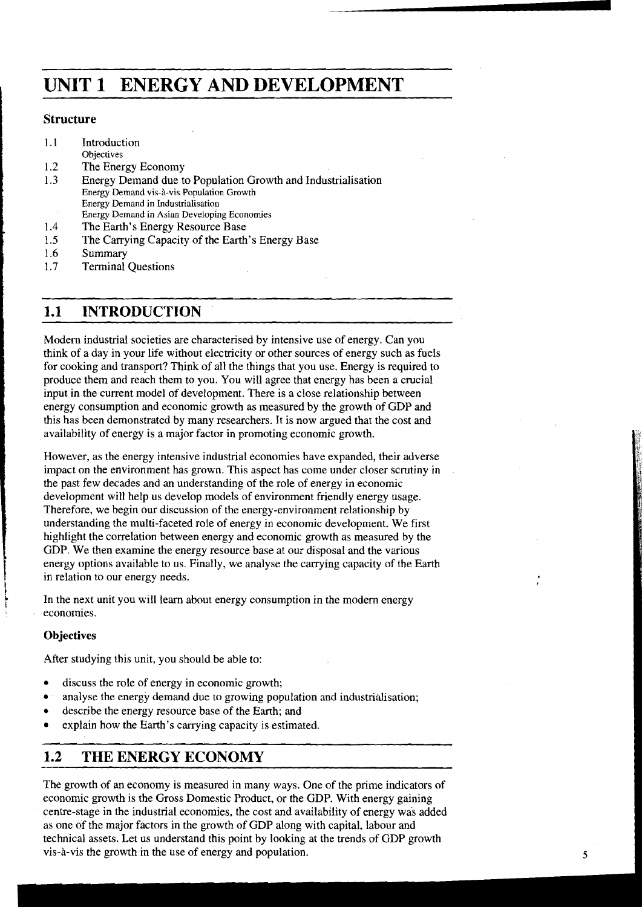# <sup>I</sup>**UNIT 1 ENERGY AND DEVELOPMENT**

#### **Structure**

- 1.1 Introduction
- Objectives
- 1.2 The Energy Economy<br>1.3 Energy Demand due t
- 1.3 Energy Demand due to Population Growth and Industrialisation Energy Demand vis-à-vis Population Growth Energy Demand in Industrialisation Energy Demand in Asian Developing Economies
- 1.4 The Earth's Energy Resource Base
- 1.5 The Carrying Capacity of the Earth's Energy Base
- 1.6 Summary
- 1.7 Terminal Questions

## **1.1 INTRODUCTION**

Modem industrial societies are characterised by intensive use of energy. Can you think of a day in your life without electricity or other sources of energy such as fuels for cooking and transport? Think of all the things that you use. Energy is required to produce them and reach them to you. You will agree that energy has been a crucial input in the current model of development. There is a close relationship between energy consumption and economic growth as measured by the growth of GDP and this has been demonstrated by many researchers. It is now argued that the cost and availability of energy is a major factor in promoting economic growth.

However, as the energy intensive industrial economies have expanded, their adverse impact on the environment has grown. This aspect has come under closer scrutiny in the past few decades and an understanding of the role of energy in economic development will help us develop models of environment friendly energy usage. Therefore, we begin our discussion of the energy-environment relationship by understanding the multi-faceted role of energy in economic development. We first highlight the correlation between energy and economic growth as measured by the GDP. We then examine the energy resource base at our disposal and the various energy options available to us. Finally, we analyse the carrying capacity of the Earth in relation to our energy needs.

In the next unit you will learn about energy consumption in the modern energy economies.

#### **Objectives**

Ļ.

After studying this unit, you should be able to:

- discuss the role of energy in economic growth;
- analyse the energy demand due to growing population and industrialisation;
- describe the energy resource base of the Earth; and
- explain how the Earth's carrying capacity is estimated.

## **1.2 THE ENERGY ECONOMY**

The growth of an economy is measured in many ways. One of the prime indicators of economic growth is the Gross Domestic Product, or the GDP. With energy gaining centre-stage in the industrial economies, the cost and availability of energy was added as one of the major factors in the growth of GDP along with capital, labour and technical assets. Let us understand this point by looking at the trends of GDP growth vis-8-vis the growth in the use of energy and population.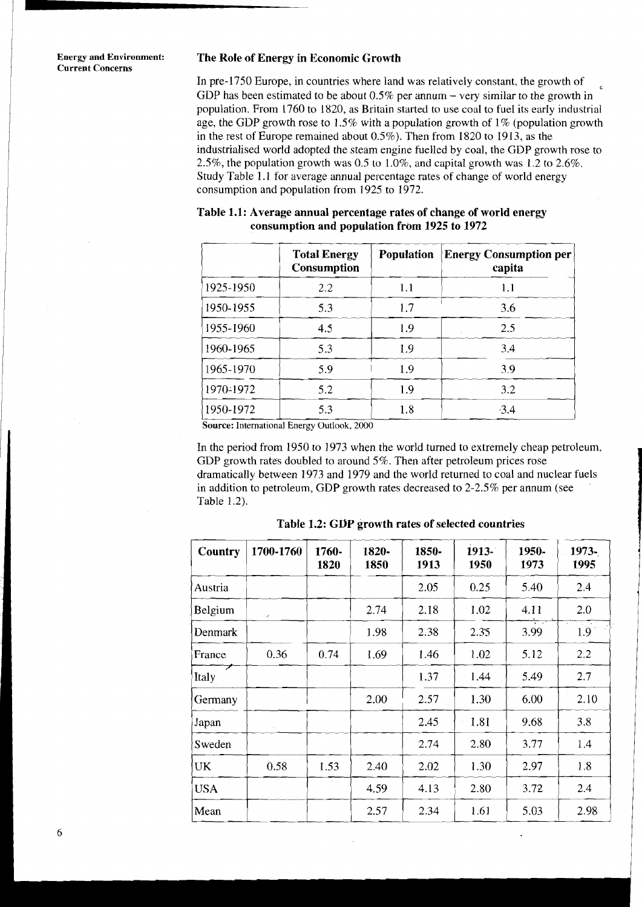**Current Concerns** 

#### **Energy and Environment: The Role of Energy in Economic Growth**

In pre-1750 Europe, in countries where land was relatively constant, the growth of GDP has been estimated to be about  $0.5\%$  per annum – very similar to the growth in population. From 1760 to 1820, as Britain started to use coal to fuel its early industrial age, the GDP growth rose to 1.5% with a population growth of  $1\%$  (population growth in the rest of Europe remained about 0.5%). Then from 1820 to 1913, as the industrialised world adopted the steam engine fuelled by coal, the GDP growth rose to 2.5%, the population growth was 0.5 to 1.0%, and capital growth was 1.2 to 2.6%. Study Table 1.1 for average annual percentage rates of change of world energy consumption and population from 1925 to 1972.

| 2.5%, the population growth was 0.5 to 1.0%, and capital growth was 1.2 to 2.6%.<br>Study Table 1.1 for average annual percentage rates of change of world energy<br>consumption and population from 1925 to 1972.<br>Table 1.1: Average annual percentage rates of change of world energy |                                                                                           |                   |                                         |  |  |  |  |  |
|--------------------------------------------------------------------------------------------------------------------------------------------------------------------------------------------------------------------------------------------------------------------------------------------|-------------------------------------------------------------------------------------------|-------------------|-----------------------------------------|--|--|--|--|--|
|                                                                                                                                                                                                                                                                                            | consumption and population from 1925 to 1972<br><b>Total Energy</b><br><b>Consumption</b> | <b>Population</b> | <b>Energy Consumption per</b><br>capita |  |  |  |  |  |
| 1925-1950                                                                                                                                                                                                                                                                                  | 2.2                                                                                       | 1.1               | 1.1                                     |  |  |  |  |  |
| 1950-1955                                                                                                                                                                                                                                                                                  | 5.3                                                                                       | 1.7               | 3.6                                     |  |  |  |  |  |
| 1955-1960                                                                                                                                                                                                                                                                                  | 4.5                                                                                       | 1.9               | 2.5                                     |  |  |  |  |  |
| 1960-1965                                                                                                                                                                                                                                                                                  | 5.3                                                                                       | 1.9               | 3.4                                     |  |  |  |  |  |
| 1965-1970                                                                                                                                                                                                                                                                                  | 5.9                                                                                       | 1.9               | 3.9                                     |  |  |  |  |  |
| 1970-1972                                                                                                                                                                                                                                                                                  | 5.2                                                                                       | 1.9               | 3.2                                     |  |  |  |  |  |
| 1950-1972                                                                                                                                                                                                                                                                                  | 5.3                                                                                       | 1.8               | $-3.4$                                  |  |  |  |  |  |

| Table 1.1: Average annual percentage rates of change of world energy |
|----------------------------------------------------------------------|
| consumption and population from 1925 to 1972                         |

**Source:** International Energy Outlook, 2000

In the period from 1950 to 1973 when the world turned to extremely cheap petroleum, GDP growth rates doubled to around 5%. Then after petroleum prices rose dramatically between 1973 and 1979 and the world returned to coal and nuclear fuels in addition to petroleum, GDP growth rates decreased to 2-2.5% per annum (see Table 1.2).

| Table 1.2).                                       |           |               |               |               |                  |               |               |  |  |
|---------------------------------------------------|-----------|---------------|---------------|---------------|------------------|---------------|---------------|--|--|
| Table 1.2: GDP growth rates of selected countries |           |               |               |               |                  |               |               |  |  |
| Country                                           | 1700-1760 | 1760-<br>1820 | 1820-<br>1850 | 1850-<br>1913 | $1913 -$<br>1950 | 1950-<br>1973 | 1973-<br>1995 |  |  |
| Austria                                           |           |               |               | 2.05          | 0.25             | 5.40          | 2.4           |  |  |
| Belgium                                           | W.        |               | 2.74          | 2.18          | 1.02             | 4.11          | 2.0           |  |  |
| <b>Denmark</b>                                    |           |               | 1.98          | 2.38          | 2.35             | 3.99          | 1.9           |  |  |
| France                                            | 0.36      | 0.74          | 1.69          | 1.46          | 1.02             | 5.12          | 2.2           |  |  |
| Italy                                             |           |               |               | 1.37          | 1.44             | 5.49          | 2.7           |  |  |
| Germany                                           |           |               | 2.00          | 2.57          | 1.30             | 6.00          | 2.10          |  |  |
| Japan                                             |           |               |               | 2.45          | 1.81             | 9.68          | 3.8           |  |  |
| Sweden                                            |           |               |               | 2.74          | 2.80             | 3.77          | 1.4           |  |  |
| <b>UK</b>                                         | 0.58      | 1.53          | 2.40          | 2.02          | 1.30             | 2.97          | 1.8           |  |  |
| <b>USA</b>                                        |           |               | 4.59          | 4.13          | 2.80             | 3.72          | 2.4           |  |  |
| Mean                                              |           |               | 2.57          | 2.34          | 1.61             | 5.03          | 2.98          |  |  |

**Table 1.2: GDP growth rates of selected countries**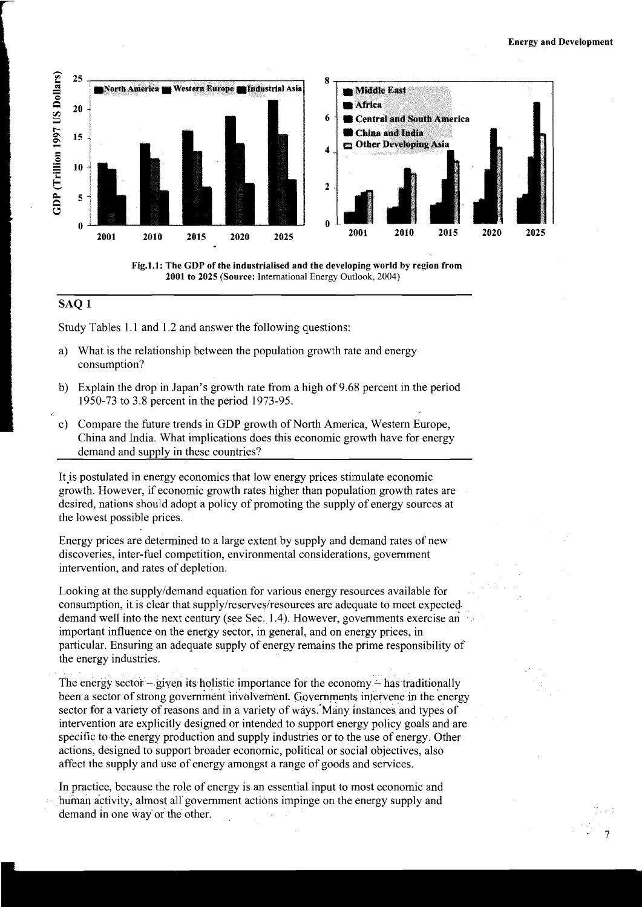



#### **SAQ 1**

Study Tables 1.1 and 1.2 and answer the following questions:

- a) What is the relationship between the population growth rate and energy consumption?
- b) Explain the drop in Japan's growth rate from a high of 9.68 percent in the period 1950-73 to 3.8 percent in the period 1973-95.
- c) Compare the future trends in GDP growth of North America, Western Europe, China and India. What implications does this economic growth have for energy demand and supply in these countries?

It is postulated in energy economics that low energy prices stimulate economic growth. However, if economic growth rates higher than population growth rates are desired, nations should adopt a policy of promoting the supply of energy sources at the lowest possible prices.

Energy prices are determined to a large extent by supply and demand rates of new discoveries, inter-fuel competition, environmental considerations, government intervention, and rates of depletion.

Looking at the supplyldemand equation for various energy resources available for consumption, it is clear that supply/reserves/resources are adequate to meet expected. demand well into the next century (see Sec. 1.4). However, governments exercise an important influence on the energy sector, in general, and on energy prices, in particular. Ensuring an adequate supply of energy remains the prime responsibility of the energy industries.

The energy sector  $-\frac{1}{2}$  given its holistic importance for the economy  $-\frac{1}{2}$  has traditionally been a sector of strong government involvement. Governments intervene in the energy sector for a variety of reasons and in a variety of ways. Many instances and types of intervention are explicitly designed or intended to support energy policy goals and are specific to the energy production and supply industries or to the use of energy. Other actions, designed to support broader economic, political or social objectives, also affect the supply and use of energy amongst a range of goods and services.

In practice, because the role of energy is an essential input to most economic and human activity, almost all government actions impinge on the energy supply and demand in one way or the other.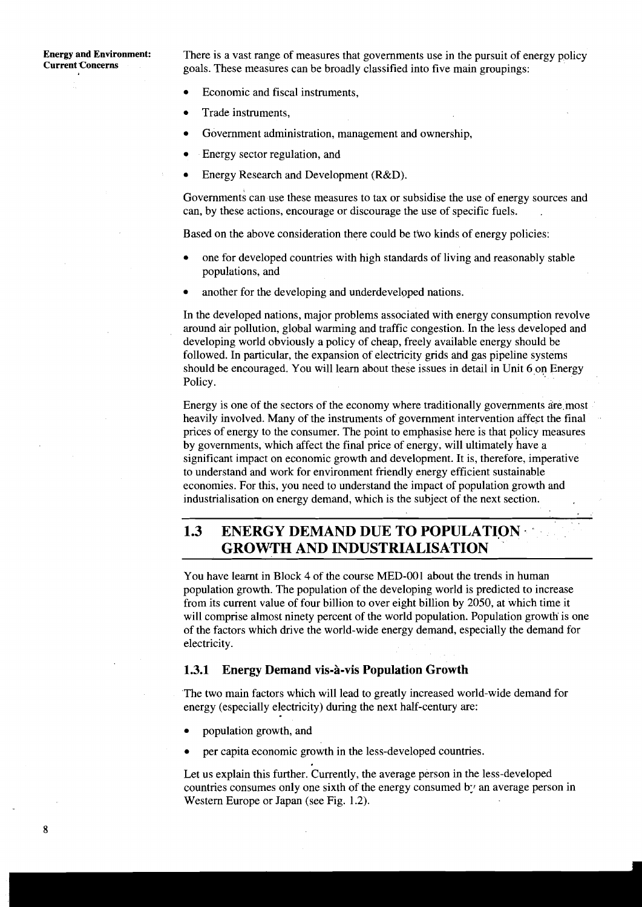**Energy and Environment:** There is a vast range of measures that governments use in the pursuit of energy policy<br>Current Concerns<br>Corrent Concerns goals. These measures can be broadly classified into five main groupings:

- $\epsilon$ Economic and fiscal instruments,
- Trade instruments,
- Government administration, management and ownership,
- Energy sector regulation, and  $\bullet$
- Energy Research and Development (R&D).  $\bullet$

Governments can use these measures to tax or subsidise the use of energy sources and can, by these actions, encourage or discourage the use of specific fuels. .

Based on the above consideration there could be two kinds of energy policies:

- one for developed countries with high standards of living and reasonably stable populations, and
- another for the developing and underdeveloped nations.

In the developed nations, major problems associated with energy consumption revolve around air pollution, global warming and traffic congestion. In the less developed and developing world obviously a policy of cheap, freely available energy should be followed. In particular, the expansion of electricity grids and gas pipeline systems should be encouraged. You will learn about these issues in detail in Unit 6 on Energy Policy.

Energy is one of the sectors of the economy where traditionally governments are most heavily involved. Many of the instruments of government intervention affect the final prices of energy to the consumer. The point to emphasise here is that policy measures by governments, which affect the final price of energy, will ultimately have a significant impact on economic growth and development. It is, therefore, imperative to understand and work for environment friendly energy efficient sustainable economies. For this, you need to understand the impact of population growth and industrialisation on energy demand, which is the subject of the next section.

## **1.3 ENERGY DEMAND DUE TO POPULATION GROWTH AND INDUSTRIALISATION**

You have learnt in Block 4 of the course MED-001 about the trends in human population growth. The population of the developing world is predicted to increase from its current value of four billion to over eight billion by 2050, at which time it will comprise almost ninety percent of the world population. Population growth is one of the factors which drive the world-wide energy demand, especially the demand for electricity.

#### **1.3.1 Energy Demand vis-a-vis Population Growth**

'The two main factors which will lead to greatly increased world-wide demand for energy (especially electricity) during the next half-century are:

- population growth, and
- per capita economic growth in the less-developed countries.

Let us explain this further. Currently, the average person in the less-developed countries consumes only one sixth of the energy consumed by an average person in Western Europe or Japan (see Fig. 1.2).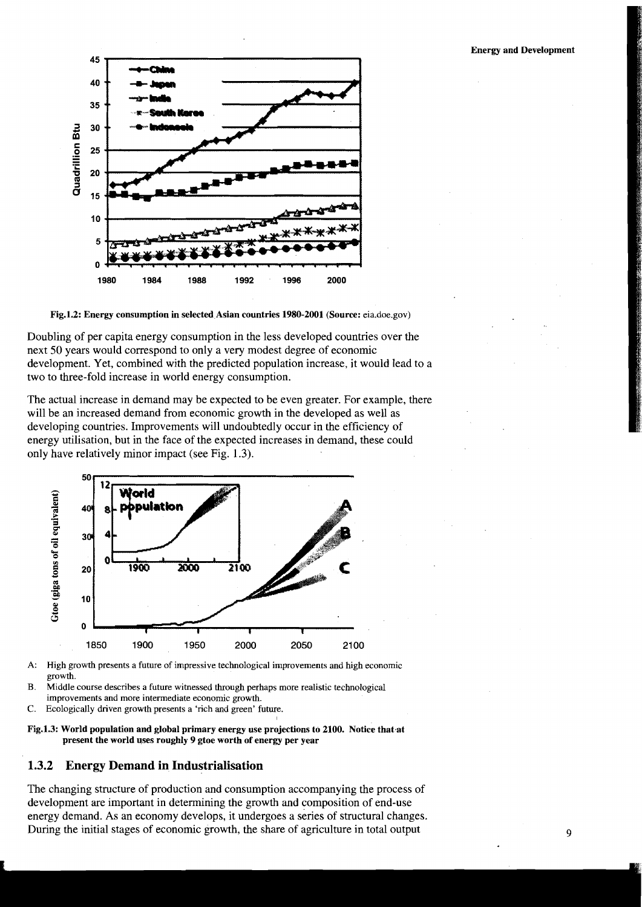#### **Energy and Development**





Doubling of per capita energy consumption in the less developed countries over the next 50 years would correspond to only a very modest degree of economic development. Yet, combined with the predicted population increase, it would lead to a two to three-fold increase in world energy consumption.

The actual increase in demand may be expected to be even greater. For example, there will be an increased demand from economic growth in the developed as well as developing countries. Improvements will undoubtedly occur in the efficiency of energy utilisation, but in the face of the expected increases in demand, these could only have relatively minor impact (see Fig. 1.3).



**A:** High growth presents a future of impressive technological improvements and high economic growth.

B. Middle course describes a future witnessed through perhaps more realistic technological improvements and more intermediate economic growth.

- C. Ecologically driven growth presents a 'rich and green' future.
- **Fig.l.3: World population and global primary energy use projections to 2100. Notice that.at present the world uses roughly 9 gtoe worth of energy per year**

I

#### **1.3.2 Energy Demand in Industrialisation**

The changing structure of production and consumption accompanying the process of development are important in determining the growth and composition of end-use energy demand. As an economy develops, it undergoes a series of structural changes. During the initial stages of economic growth, the share of agriculture in total output **9 9**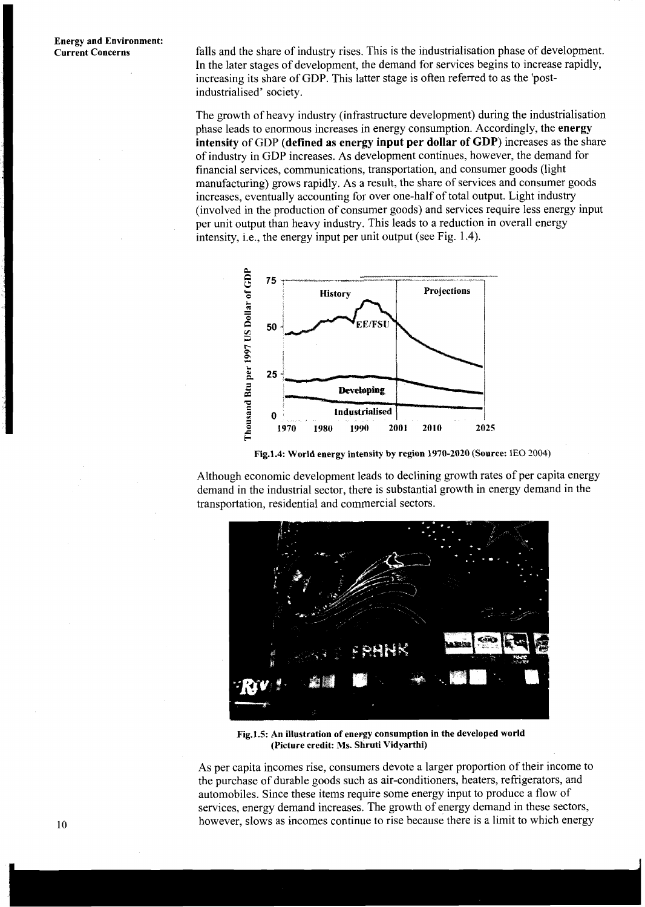falls and the share of industry rises. This is the industrialisation phase of development. In the later stages of development, the demand for services begins to increase rapidly, increasing its share of GDP. This latter stage is often referred to as the 'postindustrialised' society.

The growth of heavy industry (infrastructure development) during the industrialisation phase leads to enormous increases in energy consumption. Accordingly, the **energy intensity** of GDP **(defined as energy input per dollar of GDP)** increases as the share of industry in GDP increases. As development continues, however, the demand for financial services, communications, transportation, and consumer goods (light manufacturing) grows rapidly. As a result, the share of services and consumer goods increases, eventually accounting for over one-half of total output. Light industry (involved in the production of consumer goods) and services require less energy input per unit output than heavy industry. This leads to a reduction in overall energy intensity, i.e., the energy input per unit output (see Fig. 1.4).



**Fig.l.4: World energy intensity by region 1970-2020 (Source:** 1EO **2004)** 

Although economic development leads to declining growth rates of per capita energy demand in the industrial sector, there is substantial growth in energy demand in the transportation, residential and commercial sectors.



Fig.1.5: An illustration of energy consumption in the developed world **(Picture credit: Ms. Shruti Vidyarthi)** 

As per capita incomes rise, consumers devote a larger proportion of their income to the purchase of durable goods such as air-conditioners, heaters, refrigerators, and automobiles. Since these items require some energy input to produce a flow of services, energy demand increases. The growth of energy demand in these sectors, however, slows as incomes continue to rise because there is a limit to which energy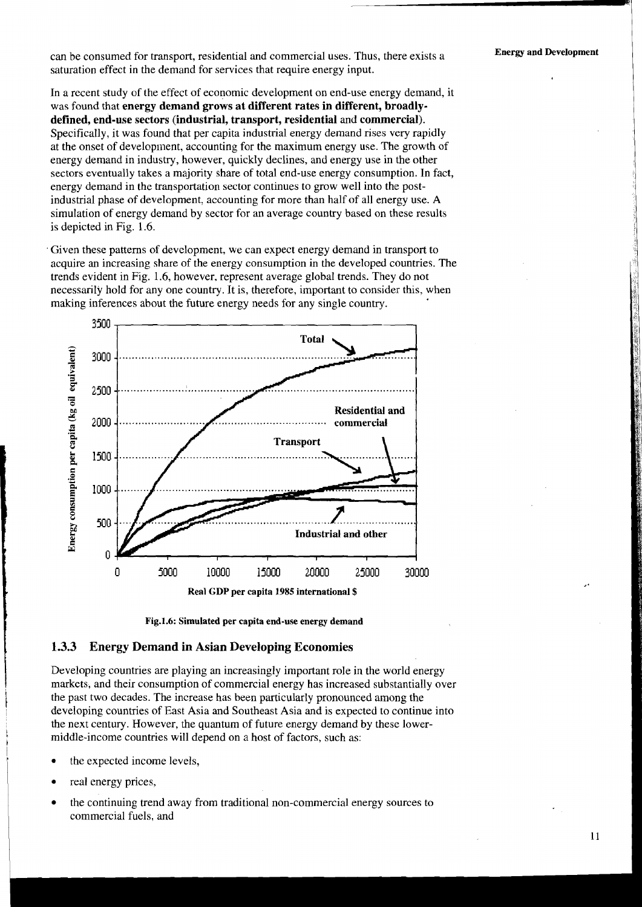can be consumed for transport, residential and commercial uses. Thus, there exists a **Energy and Development**  saturation effect in the demand for services that require energy input.

In a recent study of the effect of economic development on end-use energy demand, it was found that **energy demand grows at different rates in different, broadlydefined, end-use sectors (industrial, transport, residential** and **commercial).**  Specifically, it was found that per capita industrial energy demand rises very rapidly at the onset of development, accounting for the maximum energy use. The growth of energy demand in industry, however, quickly declines, and energy use in the other sectors eventually takes a majority share of total end-use energy consumption. In fact, energy demand in the transportation sector continues to grow well into the postindustrial phase of development, accounting for more than half of all energy use. **A**  simulation of energy demand by sector for an average country based on these results is depicted in Fig. 1.6.

Given these patterns of development, we can expect energy demand in transport to acquire an increasing share of the energy consumption in the developed countries. The trends evident in Fig. 1.6, however, represent average global trends. They do not necessarily hold for any one country. It is, therefore, important to consider this, when making inferences about the future energy needs for any single country.





#### **1.3.3 Energy Demand in Asian Developing Economies**

Developing countries are playing an increasingly important role in the world energy markets, and their consumption of commercial energy has increased substantially over the past two decades. The increase has been particularly pronounced among the <sup>I</sup>developing countries of East Asia and Southeast Asia and is expected to continue into the next century. However, the quantum of future energy demand by these lowermiddle-income countries will depend on a host of factors, such as:

- the expected income levels,
- real energy prices,

i

I

the continuing trend away from traditional non-commercial energy sources to commercial fuels, and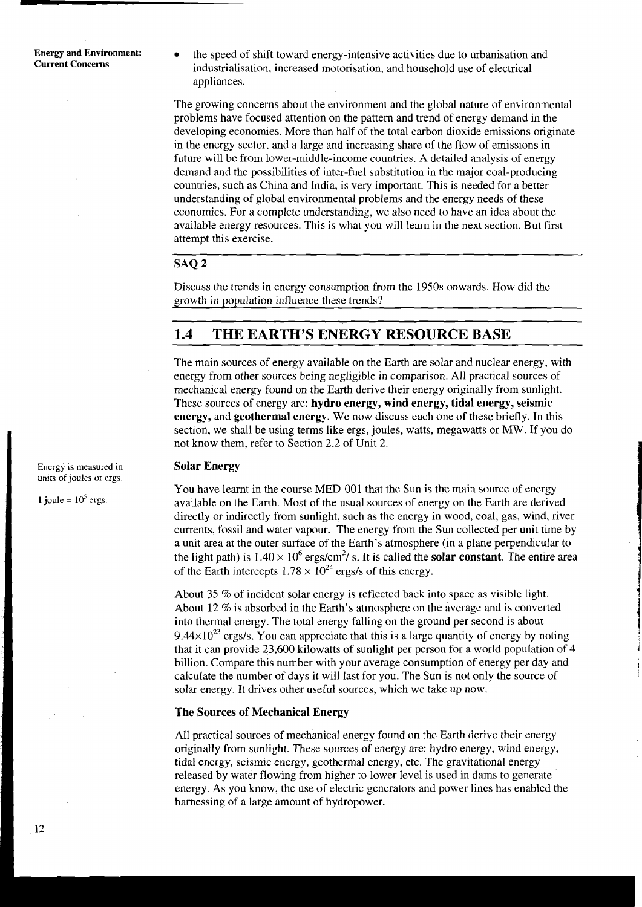**Energy and Environment:** <br>**the speed of shift toward energy-intensive activities due to urbanisation and Current Concerns** industrialisation, increased motorisation, and household use of electrical appliances.

> The growing concerns about the environment and the global nature of environmental problems have focused attention on the pattern and trend of energy demand in the developing economies. More than half of the total carbon dioxide emissions originate in the energy sector, and a large and increasing share of the flow of emissions in future will be from lower-middle-income countries. A detailed analysis of energy demand and the possibilities of inter-fuel substitution in the major coal-producing countries, such as China and India, is very important. This is needed for a better understanding of global environmental problems and the energy needs of these economies. For a complete understanding, we also need to have an idea about the available energy resources. This is what you will learn in the next section. But first attempt this exercise.

### SAQ<sub>2</sub>

Discuss the trends in energy consumption from the 1950s onwards. How did the growth in population influence these trends?

## **1.4 THE EARTH'S ENERGY RESOURCE BASE**

The main sources of energy available on the Earth are solar and nuclear energy, with energy from other sources being negligible in comparison. All practical sources of mechanical energy found on the Earth derive their energy originally from sunlight. These sources of energy are: **hydro energy, wind energy, tidal energy, seismic energy,** and **geothermal energy.** We now discuss each one of these briefly. In this section, we shall be using terms like ergs, joules, watts, megawatts or MW. If you do not know them, refer to Section 2.2 of Unit 2.

#### **Solar Energy**

You have learnt in the course MED-001 that the Sun is the main source of energy available on the Earth. Most of the usual sources of energy on the Earth are derived directly or indirectly from sunlight, such as the energy in wood, coal, gas, wind, river currents, fossil and water vapour. The energy from the Sun collected per unit time by a unit area at the outer surface of the Earth's atmosphere (in a plane perpendicular to the light path) is  $1.40 \times 10^6$  ergs/cm<sup>2</sup>/s. It is called the **solar constant**. The entire area of the Earth intercepts  $1.78 \times 10^{24}$  ergs/s of this energy.

About 35 % of incident solar energy is reflected back into space as visible light. About 12  $\%$  is absorbed in the Earth's atmosphere on the average and is converted into thermal energy. The total energy falling on the ground per second is about  $9.44\times10^{23}$  ergs/s. You can appreciate that this is a large quantity of energy by noting that it can provide 23,600 kilowatts of sunlight per person for a world population of 4 billion. Compare this number with your average consumption of energy per day and calculate the number of days it will last for you. The Sun is not only the source of solar energy. It drives other useful sources, which we take up now.

#### **The Sources of Mechanical Energy**

All practical sources of mechanical energy found on the Earth derive their energy originally from sunlight. These sources of energy are: hydro energy, wind energy, tidal energy, seismic energy, geothermal energy, etc. The gravitational energy released by water flowing from higher to lower level is used in dams to generate energy. As you know, the use of electric generators and power lines has enabled the harnessing of a large amount of hydropower.

Energy is measured in units of joules or ergs.

1 joule =  $10^5$  ergs.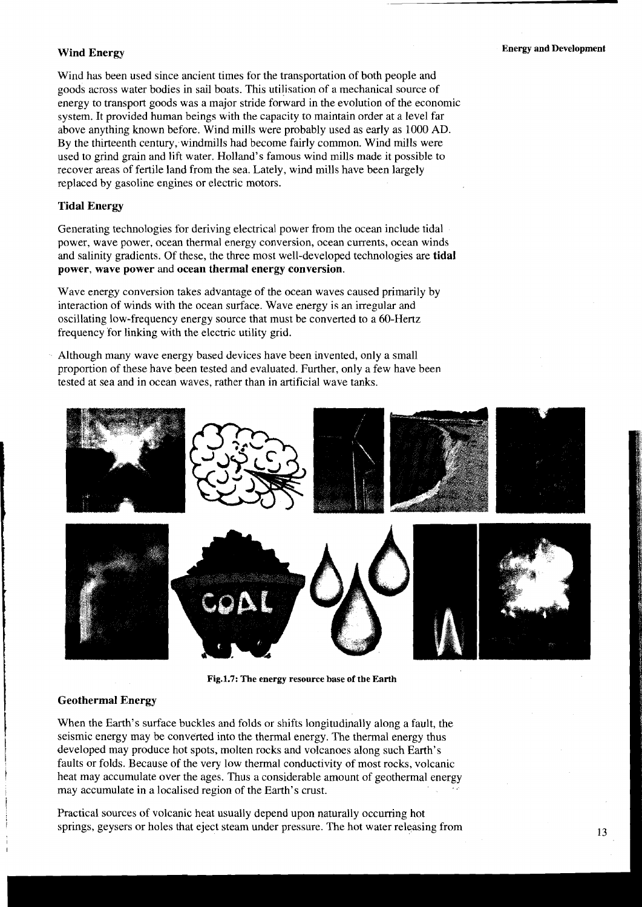Wind has been used since ancient times for the transportation of both people and goods across water bodies in sail boats. This utiljsation of a mechanical source of energy to transport goods was a major stride forward in the evolution of the economic system. It provided human beings with the capacity to maintain order at a level far above anything known before. Wind mills were probably used as early as 1000 AD. By the thirteenth century;windrnills had become fairly common. Wind mills were used to grind grain and lift water. Holland's famous wind mills made it possible to recover areas of fertile land from the sea. Lately, wind mills have been largely replaced by gasoline engines or electric motors.

#### **Tidal Energy**

Generating technologies for deriving electrical power from the ocean include tidal power, wave power, ocean thermal energy conversion, ocean currents, ocean winds and salinity gradients. Of these, the three most well-developed technologies are **tidal power, wave power** and **ocean thermal energy conversion.** 

Wave energy conversion takes advantage of the ocean waves caused primarily by interaction of winds with the ocean surface. Wave energy is an irregular and oscillating low-frequency energy source that must be converted to a 60-Hertz frequency for linking with the electric utility grid.

Although many wave energy based devices have been invented, only a small proportion of these have been tested and evaluated. Further, only a few have been tested at sea and in ocean waves, rather than in artificial wave tanks.



Fig.1.7: The energy resource base of the Earth

#### I **Geothermal Energy**

When the Earth's surface buckles and folds or shifts longitudinally along a fault, the seismic energy may be converted into the thermal energy. The thermal energy thus developed may produce hot spots, molten rocks and volcanoes along such Earth's faults or folds. Because of the very low thermal conductivity of most rocks, volcanic heat may accumulate over the ages. Thus a considerable amount of geothermal energy may accumulate in a localised region of the Earth's crust.

Practical sources of volcanic heat usually depend upon naturally occurring hot springs, geysers or holes that eject steam under pressure. The hot water releasing from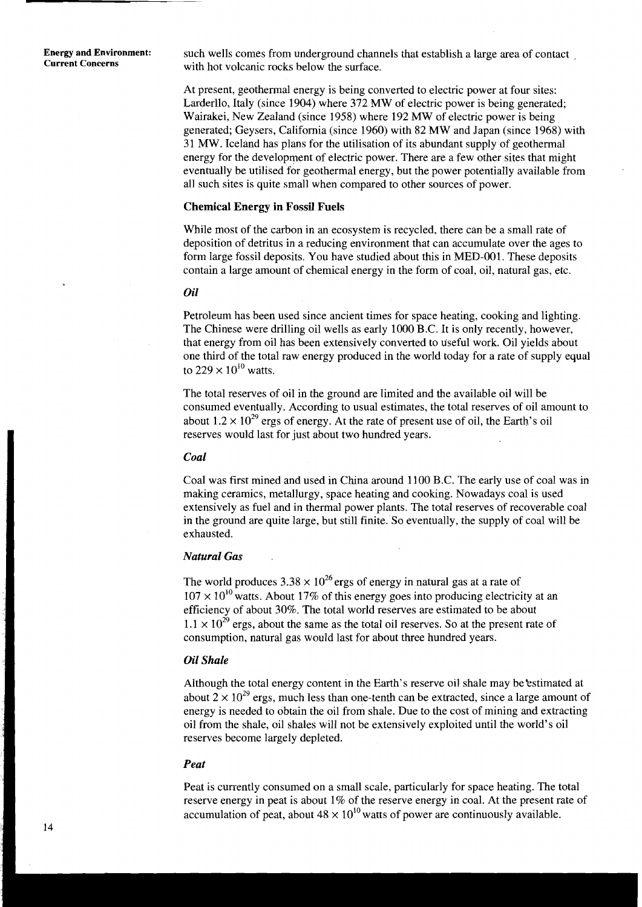**Energy and Environment:** such wells comes from underground channels that establish a large area of contact current Concerns with hot volcanic rocks below the surface.

> At present, geothermal energy is being converted to electric power at four sites: Larderllo, Italy (since 1904) where 372 MW of electric power is being generated; Wairakei, New Zealand (since 1958) where 192 MW of electric power is being generated; Geysers, California (since 1960) with 82 MW and Japan (since 1968) with 31 MW. Iceland has plans for the utilisation of its abundant supply of geothermal energy for the development of electric power. There are a few other sites that might eventually be utilised for geothermal energy, but the power potentially available from all such sites is quite small when compared to other sources of power.

#### **Chemical Energy in Fossil Fuels**

While most of the carbon in an ecosystem is recycled, there can be a small rate of deposition of detritus in a reducing environment that can accumulate over the ages to form large fossil deposits. You have studied about this in MED-001. These deposits contain a large amount of chemical energy in the form of coal, oil, natural gas, etc.

#### *Oil*

Petroleum has been used since ancient times for space heating, cooking and lighting. The Chinese were drilling oil wells as early 1000 B.C. It is only recently, however, that energy from oil has been extensively converted to useful work. Oil yields about one third of the total raw energy produced in the world today for a rate of supply equal to  $229 \times 10^{10}$  watts.

The total reserves of oil in the ground are limited and the available oil will be consumed eventually. According to usual estimates, the total reserves of oil amount to about  $1.2 \times 10^{29}$  ergs of energy. At the rate of present use of oil, the Earth's oil reserves would last for just about two hundred years.

#### *Coal*

Coal was first mined and used in China around 1100 B.C. The early use of coal was in making ceramics, metallurgy, space heating and cooking. Nowadays coal is used extensively as fuel and in thermal power plants. The total reserves of recoverable coal in the ground are quite large, but still finite. So eventually, the supply of coal will be exhausted.

#### *Natural Gas*

The world produces  $3.38 \times 10^{26}$  ergs of energy in natural gas at a rate of  $107 \times 10^{10}$  watts. About 17% of this energy goes into producing electricity at an efficiency of about 30%. The total world reserves are estimated to be about  $1.1 \times 10^{29}$  ergs, about the same as the total oil reserves. So at the present rate of consumption, natural gas would last for about three hundred years.

#### *Oil Shale*

Although the total energy content in the Earth's reserve oil shale may be'estimated at about  $2 \times 10^{29}$  ergs, much less than one-tenth can be extracted, since a large amount of energy is needed to obtain the oil from shale. Due to the cost of mining and extracting oil from the shale, oil shales will not be extensively exploited until the world's oil reserves become largely depleted.

#### *Peat*

Peat is currently consumed on a small scale, particularly for space heating. The total reserve energy in peat is about 1% of the reserve energy in coal. At the present rate of accumulation of peat, about  $48 \times 10^{10}$  watts of power are continuously available.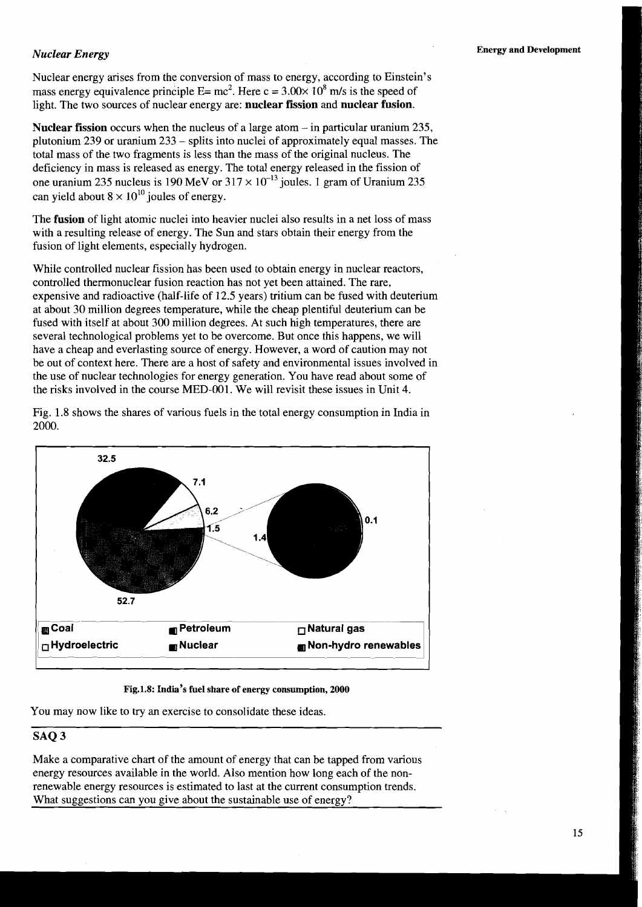#### *Nuclear Energy*

Nuclear energy arises from the conversion of mass to energy, according to Einstein's mass energy equivalence principle  $E= mc^2$ . Here  $c = 3.00 \times 10^8$  m/s is the speed of light. The two sources of nuclear energy are: **nuclear fission** and **nuclear fusion.** 

**Nuclear fission** occurs when the nucleus of a large atom - in particular uranium 235, plutonium 239 or uranium 233 - splits into nuclei of approximately equal masses. The total mass of the two fragments is less than the mass of the original nucleus. The deficiency in mass is released as energy. The total energy released in the fission of one uranium 235 nucleus is 190 MeV or  $317 \times 10^{-13}$  joules. 1 gram of Uranium 235 can yield about  $8 \times 10^{10}$  joules of energy.

The **fusion** of light atomic nuclei into heavier nuclei also results in a net loss of mass with a resulting release of energy. The Sun and stars obtain their energy from the fusion of light elements, especially hydrogen.

While controlled nuclear fission has been used to obtain energy in nuclear reactors, controlled thermonuclear fusion reaction has not yet been attained. The rare, expensive and radioactive (half-life of 12.5 years) tritium can be fused with deuterium at about 30 million degrees temperature, while the cheap plentiful deuterium can be fused with itself at about 300 million degrees. At such high temperatures, there are several technological problems yet to be overcome. But once this happens, we will have a cheap and everlasting source of energy. However, a word of caution may not be out of context here. There are a host of safety and environmental issues involved in the use of nuclear technologies for energy generation. You have read about some of the risks involved in the course MED-001. We will revisit these issues in Unit 4.

Fig. 1.8 shows the shares of various fuels in the total energy consumption in India in 2000.



#### **Fig.l.8: India's fuel share of energy consumption, 2000**

You may now like to try an exercise to consolidate these ideas.

#### **SAQ 3**

Make a comparative chart of the amount of energy that can be tapped from various energy resources available in the world. Also mention how long each of the nonrenewable energy resources is estimated to last at the current consumption trends. What suggestions can you give about the sustainable use of energy?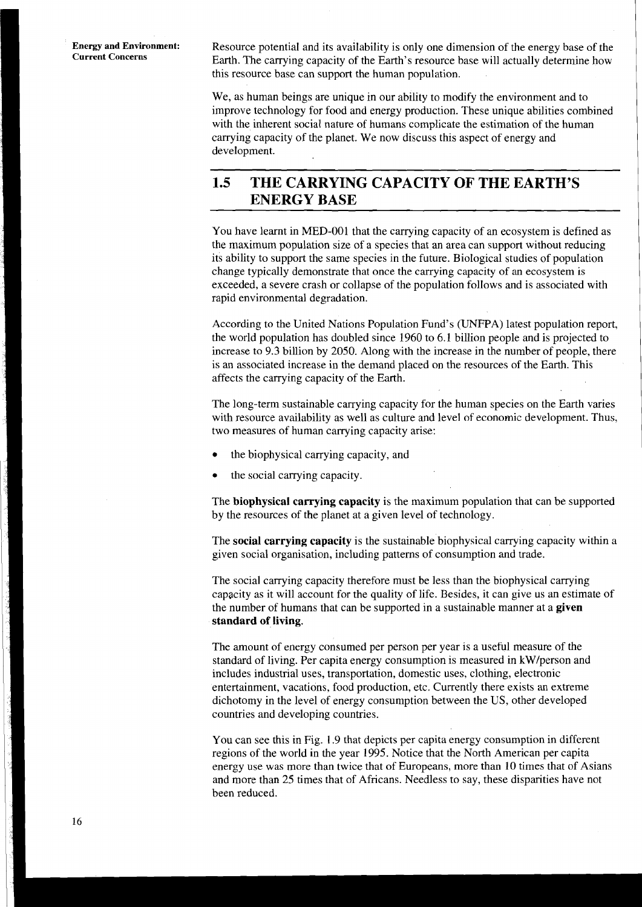**Energy and Environment:** Resource potential and its availability is only one dimension of the energy base of the Current Concerns Earth. The carrying capacity of the Earth's resource base will actually determine how this resource base can support the human population.

> We, as human beings are unique in our ability to modify the environment and to improve technology for food and energy production. These unique abilities combined with the inherent social nature of humans complicate the estimation of the human carrying capacity of the planet. We now discuss this aspect of energy and development.

## **1.5 THE CARRYING CAPACITY OF THE EARTH'S ENERGY BASE**

You have learnt in MED-001 that the carrying capacity of an ecosystem is defined as the maximum population size of a species that an area can support without reducing its ability to support the same species in the future. Biological studies of population change typically demonstrate that once the carrying capacity of an ecosystem is exceeded, a severe crash or collapse of the population follows and is associated with rapid environmental degradation.

According to the United Nations Population Fund's (UNFPA) latest population report, the world population has doubled since 1960 to 6.1 billion people and is projected to increase to 9.3 billion by 2050. Along with the increase in the number of people, there is an associated increase in the demand placed on the resources of the Earth. This affects the carrying capacity of the Earth.

The long-term sustainable carrying capacity for the human species on the Earth varies with resource availability as well as culture and level of economic development. Thus, two measures of human carrying capacity arise:

- the biophysical carrying capacity, and
- the social carrying capacity.

The **biophysical carrying capacity** is the maximum population that can be supported by the resources of the planet at a given level of technology.

The **social carrying capacity** is the sustainable biophysical carrying capacity within a given social organisation, including patterns of consumption and trade.

The social carrying capacity therefore must be less than the biophysical carrying capacity as it will account for the quality of life. Besides, it can give us an estimate of the number of humans that can be supported in a sustainable manner at a **given standard of living.** 

The amount of energy consumed per person per year is a useful measure of the standard of living. Per capita energy consumption is measured in kwlperson and includes industrial uses, transportation, domestic uses, clothing, electronic entertainment, vacations, food production, etc. Currently there exists an extreme dichotomy in the level of energy consumption between the US, other developed countries and developing countries.

You can see this in Fig. **1.9** that depicts per capita energy consumption in different regions of the world in the year 1995. Notice that the North American per capita energy use was more than twice that of Europeans, more than 10 times that of Asians and more than 25 times that of Africans. Needless to say, these disparities have not been reduced.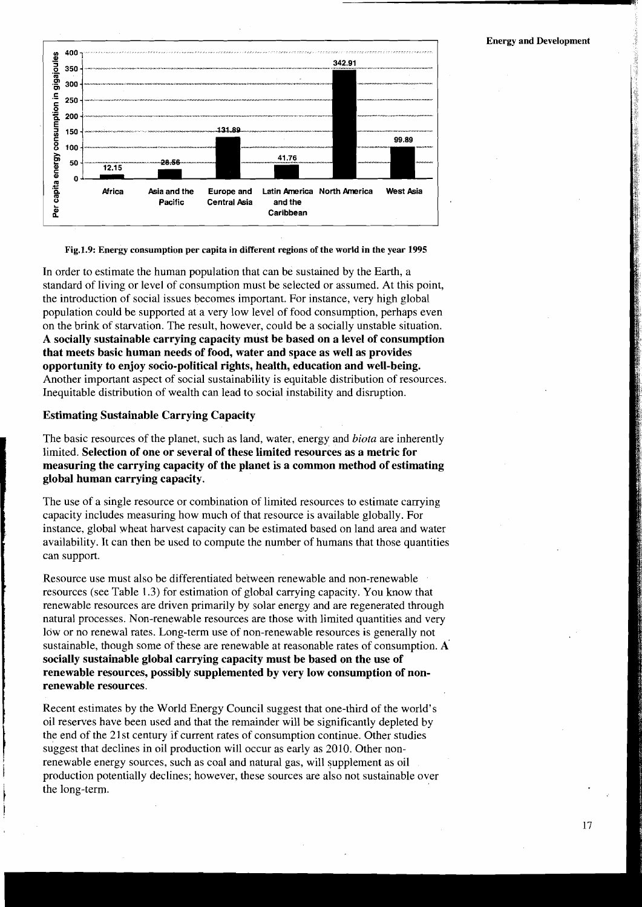

Fig.1.9: Energy consumption per capita in different regions of the world in the year 1995

In order to estimate the human population that can be sustained by the Earth, a standard of living or level of consumption must be selected or assumed. At this point, the introduction of social issues becomes important. For instance, very high global population could be supported at a very low level of food consumption, perhaps even on the brink of starvation. The result, however, could be a socially unstable situation. **A socially sustainable carrying capacity must be based on a level of consumption that meets basic human needs of food, water and space as well as provides opportunity to enjoy socio-political rights, health, education and well-being.**  Another important aspect of social sustainability is equitable distribution of resources. Inequitable distribution of wealth can lead to social instability and disruption.

#### **Estimating Sustainable Carrying Capacity**

I

The basic resources of the planet, such as land, water, energy and *biota* are inherently limited. **Selection of one or several of these limited resources as a metric for measuring the carrying capacity of the planet is a common method of estimating global human carrying capacity.** 

The use of a single resource or combination of limited resources to estimate carrying capacity includes measuring how much of that resource is available globally. For instance, global wheat harvest capacity can be estimated based on land area and water availability. It can then be used to compute the number of humans that those quantities can support.

Resource use must also be differentiated between renewable and non-renewable resources (see Table 1.3) for estimation of global carrying capacity. You know that renewable resources are driven primarily by solar energy and are regenerated through natural processes. Non-renewable resources are those with limited quantities and very low or no renewal rates. Long-term use of non-renewable resources is generally not sustainable, though some of these are renewable at reasonable rates of consumption. **A socially sustainable global carrying capacity must be based on the use of renewable resources, possibly supplemented by very low consumption of nonrenewable resources.** 

Recent estimates by the World Energy Council suggest that one-third of the world's oil reserves have been used and that the remainder will be significantly depleted by the end of the 21st century if current rates of consumption continue. Other studies suggest that declines in oil production will occur as early as 2010. Other noninterest that the energy sources, such as coal and natural gas, will supplement as oil<br>production potentially declines; however, these sources are also not sustainable over the long-term.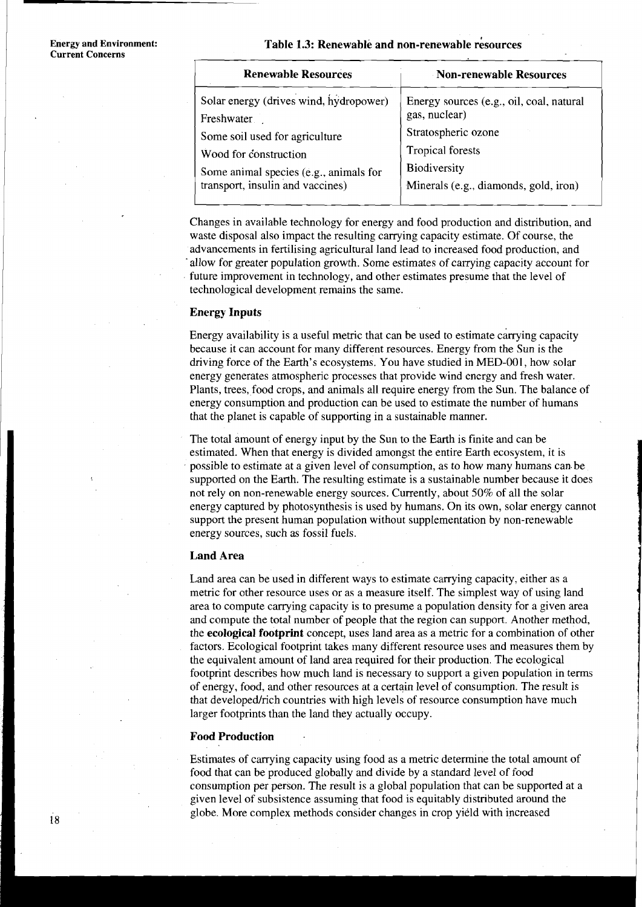#### Table 1.3: Renewable and non-renewable resources

| <b>Renewable Resources</b>                                                 | Non-renewable Resources                                                          |  |  |  |
|----------------------------------------------------------------------------|----------------------------------------------------------------------------------|--|--|--|
| Solar energy (drives wind, hydropower)<br>Freshwater                       | Energy sources (e.g., oil, coal, natural<br>gas, nuclear)<br>Stratospheric ozone |  |  |  |
| Some soil used for agriculture<br>Wood for construction                    | <b>Tropical forests</b><br>Biodiversity<br>Minerals (e.g., diamonds, gold, iron) |  |  |  |
| Some animal species (e.g., animals for<br>transport, insulin and vaccines) |                                                                                  |  |  |  |

Changes in available technology for energy and food production and distribution, and waste disposal also impact the resulting carrying capacity estimate. Of course, the advancements in fertilising agricultural land lead to increased food production, and 'allow for greater population growth. Some estimates of canying capacity account for future improvement in technology, and other estimates presume that the level of technological development remains the same.

#### **Energy Inputs**

Energy availability is a useful metric that can be used to estimate carrying capacity because it can account for many different resources. Energy from the Sun is the driving force of the Earth's ecosystems. You have studied in MED-001, how solar energy generates atmospheric processes that provide wind energy and fresh water. Plants, trees, food crops, and animals all require energy from the Sun. The balance of energy consumption and production can be used to estimate the number of humans that the planet is capable of supporting in a sustainable manner.

The total amount of energy input by the Sun to the Earth is finite and can be estimated. When that energy is divided amongst the entire Earth ecosystem, possible to estimate at a given level of consumption, as to how many estimated. When that energy is divided amongst the entire Earth ecosystem, it is possible to estimate at a given level of consumption, as to how many humans can be supported on the Earth. The resulting estimate is a sustainable number because it does not rely on non-renewable energy sources. Currently, about 50% of all the solar energy captured by photosynthesis is used by humans. On its own, solar energy cannot support the present human population without supplementation by non-renewable energy sources, such as fossil fuels.

#### **Land Area**

Land area can be used in different ways to estimate carrying capacity, either as a metric for other resource uses or as a measure itself. The simplest way of using land area to compute carrying capacity is to presume a population density for a given area and compute the total number of people that the region can support. Another method, the **ecological footprint** concept, uses land area as a metric for a combination of other factors. Ecological footprint takes many different resource uses and measures them by the equivalent amount of land area required for their production. The ecological footprint describes how much land is necessary to support a given population in terms of energy, food, and other resources at a certain level of consumption. The result is that developedJrich countries with high levels of resource consumption have much larger footprints than the land they actually occupy.

#### **Food Production**

Estimates of carrying capacity using food as a metric determine the total amount of food that can be produced globally and divide by a standard level of food consumption per person. The result is a global population that can be supported at a given level of subsistence assuming that food is equitably distributed around the globe. More complex methods consider changes in crop yield with increased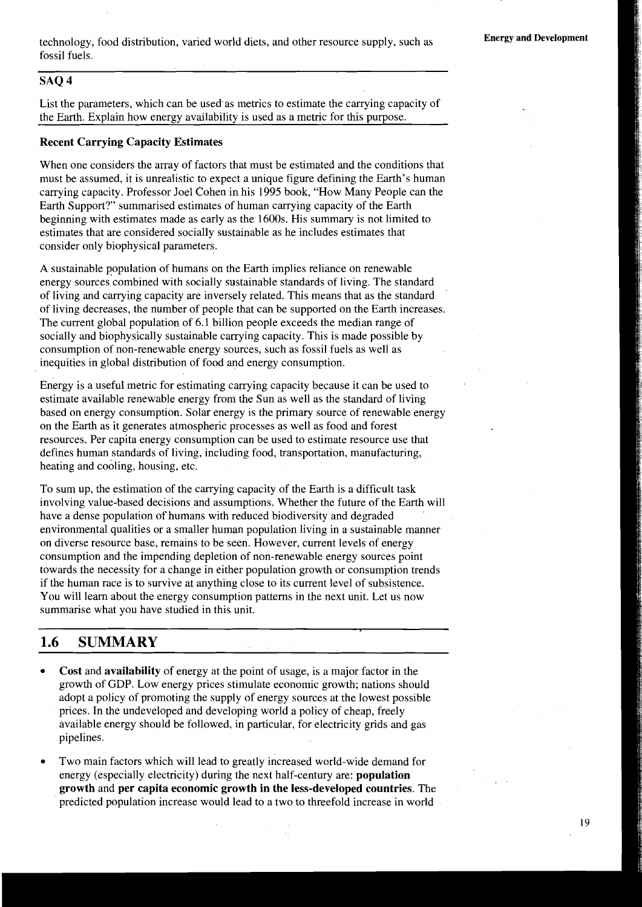technology, food distribution, varied world diets, and other resource supply, such as fossil fuels.

#### -- **SAQ 4**

List the parameters, which can be used as metrics to estimate the carrying capacity of the Earth. Explain how energy availability is used as a metric for this purpose.

#### **Recent Carrying Capacity Estimates**

When one considers the array of factors that must be estimated and the conditions that must be assumed, it is unrealistic to expect a unique figure defining the Earth's human carrying capacity. Professor Joel Cohen in his 1995 book, "How Many People can the Earth Support?" summarised estimates of human carrying capacity of the Earth beginning with estimates made as early as the 1600s. His summary is not limited to estimates that are considered socially sustainable as he includes estimates that consider only biophysical parameters.

A sustainable population of humans on the Earth implies reliance on renewable energy sources'combined with socially sustainable standards of living. The standard of living and carrying capacity are inversely related. This means that as the standard of living decreases, the number of people that can be supported on the Earth increases. The current global population of 6.1 billion people exceeds the median range of socially and biophysically sustainable carrying capacity. This is made possible by consumption of non-renewable energy sources, such as fossil fuels as well as inequities in global distribution of food and energy consumption.

Energy is a useful metric for estimating carrying capacity because it can be used to estimate available renewable energy from the Sun as well as the standard of living based on energy consumption. Solar energy is the primary source of renewable energy on the Earth as it generates atmospheric processes as well as food and forest resources. Per capita energy consumption can be used to estimate resource use that defines human standards of living, including food, transportation, manufacturing, heating and cooling, housing, etc.

To sum up, the estimation of the carrying capacity of the Earth is a difficult task involving value-based decisions and assumptions. Whether the future of the Earth will have a dense population of humans with reduced biodiversity and degraded environmental qualities or a smaller human population living in a sustainable manner on diverse resource base, remains to be seen. However, current levels of energy consumption and the impending depletion of non-renewable energy sources point towards the necessity for a change in either population growth or consumption trends if the human race is to survive at anything close to its current level of subsistence. You will learn about the energy consumption patterns in the next unit. Let us now summarise what you have studied in this unit.

### **1.6 SUMMARY**

- **Cost** and **availability** of energy at the point of usage, is a major factor in the growth of GDP. Low energy prices stimulate economic growth; nations should adopt a policy of promoting the supply of energy sources at the lowest possible prices. In the undeveloped and developing world a policy of cheap, freely available energy should be followed, in particular, for electricity grids and gas pipelines.
- Two main factors which will lead to greatly increased world-wide demand for energy (especially electricity) during the next half-century are: **population growth** and **per capita economic growth in the less-developed countries.** The predicted population increase would lead to a two to threefold increase in world